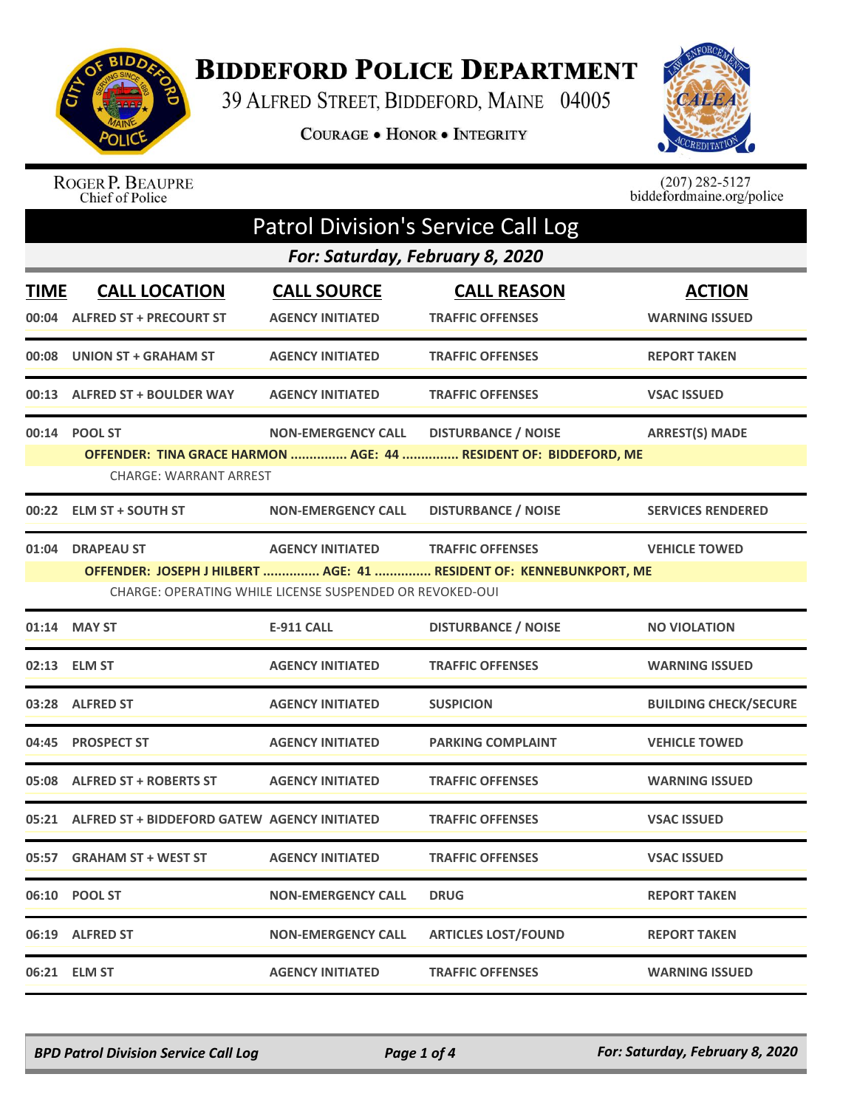

## **BIDDEFORD POLICE DEPARTMENT**

39 ALFRED STREET, BIDDEFORD, MAINE 04005

COURAGE . HONOR . INTEGRITY



## ROGER P. BEAUPRE<br>Chief of Police

 $(207)$  282-5127<br>biddefordmaine.org/police

|             | <b>Patrol Division's Service Call Log</b>                                    |                                               |                                                                                                |                                        |  |  |
|-------------|------------------------------------------------------------------------------|-----------------------------------------------|------------------------------------------------------------------------------------------------|----------------------------------------|--|--|
|             | For: Saturday, February 8, 2020                                              |                                               |                                                                                                |                                        |  |  |
| <b>TIME</b> | <b>CALL LOCATION</b><br>00:04 ALFRED ST + PRECOURT ST                        | <b>CALL SOURCE</b><br><b>AGENCY INITIATED</b> | <b>CALL REASON</b><br><b>TRAFFIC OFFENSES</b>                                                  | <b>ACTION</b><br><b>WARNING ISSUED</b> |  |  |
|             | 00:08 UNION ST + GRAHAM ST                                                   | <b>AGENCY INITIATED</b>                       | <b>TRAFFIC OFFENSES</b>                                                                        | <b>REPORT TAKEN</b>                    |  |  |
|             | 00:13 ALFRED ST + BOULDER WAY                                                | <b>AGENCY INITIATED</b>                       | <b>TRAFFIC OFFENSES</b>                                                                        | <b>VSAC ISSUED</b>                     |  |  |
|             | 00:14 POOL ST<br><b>CHARGE: WARRANT ARREST</b>                               | <b>NON-EMERGENCY CALL</b>                     | <b>DISTURBANCE / NOISE</b><br>OFFENDER: TINA GRACE HARMON  AGE: 44  RESIDENT OF: BIDDEFORD, ME | <b>ARREST(S) MADE</b>                  |  |  |
|             | 00:22 ELM ST + SOUTH ST                                                      | <b>NON-EMERGENCY CALL</b>                     | <b>DISTURBANCE / NOISE</b>                                                                     | <b>SERVICES RENDERED</b>               |  |  |
|             | 01:04 DRAPEAU ST<br>CHARGE: OPERATING WHILE LICENSE SUSPENDED OR REVOKED-OUI | <b>AGENCY INITIATED</b>                       | <b>TRAFFIC OFFENSES</b><br>OFFENDER: JOSEPH J HILBERT  AGE: 41  RESIDENT OF: KENNEBUNKPORT, ME | <b>VEHICLE TOWED</b>                   |  |  |
|             | 01:14 MAY ST                                                                 | <b>E-911 CALL</b>                             | <b>DISTURBANCE / NOISE</b>                                                                     | <b>NO VIOLATION</b>                    |  |  |
|             | 02:13 ELM ST                                                                 | <b>AGENCY INITIATED</b>                       | <b>TRAFFIC OFFENSES</b>                                                                        | <b>WARNING ISSUED</b>                  |  |  |
|             | 03:28 ALFRED ST                                                              | <b>AGENCY INITIATED</b>                       | <b>SUSPICION</b>                                                                               | <b>BUILDING CHECK/SECURE</b>           |  |  |
|             | 04:45 PROSPECT ST                                                            | <b>AGENCY INITIATED</b>                       | <b>PARKING COMPLAINT</b>                                                                       | <b>VEHICLE TOWED</b>                   |  |  |
|             | 05:08 ALFRED ST + ROBERTS ST                                                 | <b>AGENCY INITIATED</b>                       | <b>TRAFFIC OFFENSES</b>                                                                        | <b>WARNING ISSUED</b>                  |  |  |
|             | 05:21 ALFRED ST + BIDDEFORD GATEW AGENCY INITIATED                           |                                               | <b>TRAFFIC OFFENSES</b>                                                                        | <b>VSAC ISSUED</b>                     |  |  |
|             | 05:57 GRAHAM ST + WEST ST                                                    | <b>AGENCY INITIATED</b>                       | <b>TRAFFIC OFFENSES</b>                                                                        | <b>VSAC ISSUED</b>                     |  |  |
|             | 06:10 POOL ST                                                                | <b>NON-EMERGENCY CALL</b>                     | <b>DRUG</b>                                                                                    | <b>REPORT TAKEN</b>                    |  |  |
|             | 06:19 ALFRED ST                                                              | <b>NON-EMERGENCY CALL</b>                     | <b>ARTICLES LOST/FOUND</b>                                                                     | <b>REPORT TAKEN</b>                    |  |  |
|             | 06:21 ELM ST                                                                 | <b>AGENCY INITIATED</b>                       | <b>TRAFFIC OFFENSES</b>                                                                        | <b>WARNING ISSUED</b>                  |  |  |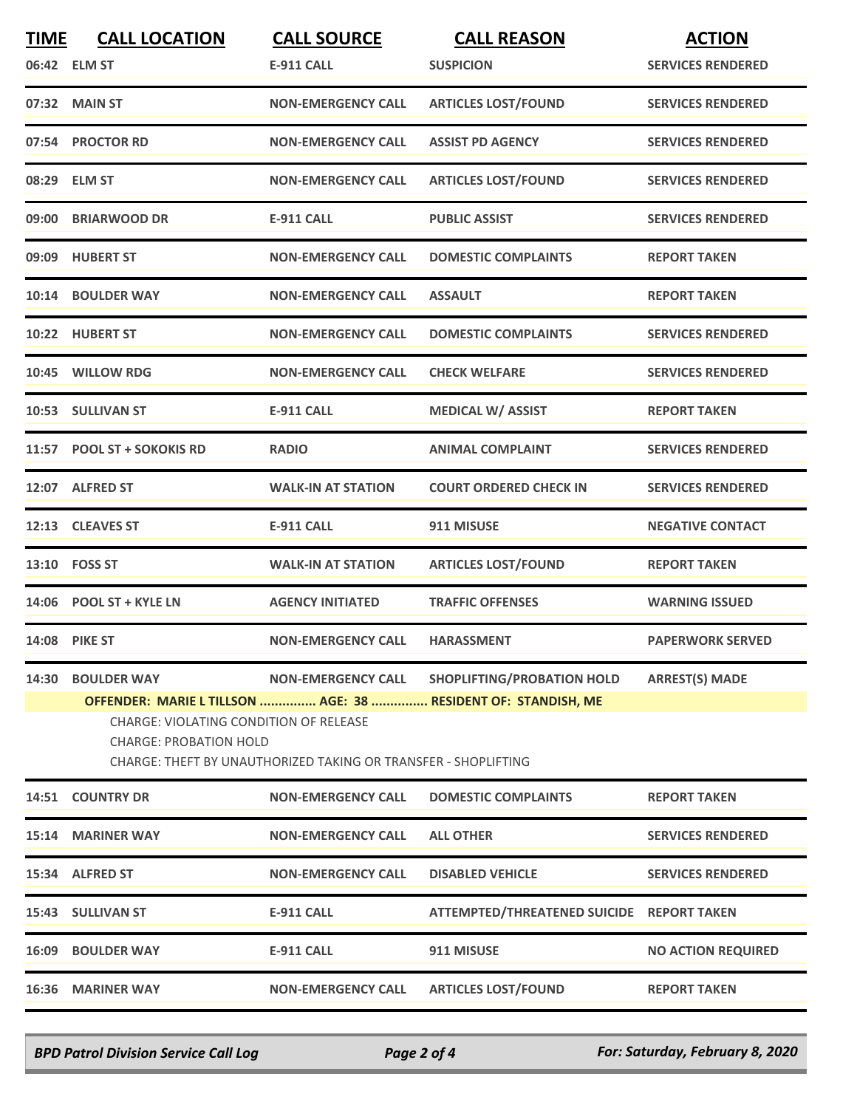| <b>TIME</b> | <b>CALL LOCATION</b>                                                           | <b>CALL SOURCE</b>                                             | <b>CALL REASON</b>                                            | <b>ACTION</b>             |
|-------------|--------------------------------------------------------------------------------|----------------------------------------------------------------|---------------------------------------------------------------|---------------------------|
|             | 06:42 ELM ST                                                                   | <b>E-911 CALL</b>                                              | <b>SUSPICION</b>                                              | <b>SERVICES RENDERED</b>  |
|             | 07:32 MAIN ST                                                                  | <b>NON-EMERGENCY CALL</b>                                      | <b>ARTICLES LOST/FOUND</b>                                    | <b>SERVICES RENDERED</b>  |
|             | 07:54 PROCTOR RD                                                               | <b>NON-EMERGENCY CALL</b>                                      | <b>ASSIST PD AGENCY</b>                                       | <b>SERVICES RENDERED</b>  |
|             | 08:29 ELM ST                                                                   | <b>NON-EMERGENCY CALL</b>                                      | <b>ARTICLES LOST/FOUND</b>                                    | <b>SERVICES RENDERED</b>  |
|             | 09:00 BRIARWOOD DR                                                             | <b>E-911 CALL</b>                                              | <b>PUBLIC ASSIST</b>                                          | <b>SERVICES RENDERED</b>  |
|             | 09:09 HUBERT ST                                                                | <b>NON-EMERGENCY CALL</b>                                      | <b>DOMESTIC COMPLAINTS</b>                                    | <b>REPORT TAKEN</b>       |
|             | 10:14 BOULDER WAY                                                              | <b>NON-EMERGENCY CALL</b>                                      | <b>ASSAULT</b>                                                | <b>REPORT TAKEN</b>       |
|             | 10:22 HUBERT ST                                                                | <b>NON-EMERGENCY CALL</b>                                      | <b>DOMESTIC COMPLAINTS</b>                                    | <b>SERVICES RENDERED</b>  |
|             | 10:45 WILLOW RDG                                                               | <b>NON-EMERGENCY CALL</b>                                      | <b>CHECK WELFARE</b>                                          | <b>SERVICES RENDERED</b>  |
|             | 10:53 SULLIVAN ST                                                              | <b>E-911 CALL</b>                                              | <b>MEDICAL W/ ASSIST</b>                                      | <b>REPORT TAKEN</b>       |
|             | 11:57 POOL ST + SOKOKIS RD                                                     | <b>RADIO</b>                                                   | <b>ANIMAL COMPLAINT</b>                                       | <b>SERVICES RENDERED</b>  |
|             | 12:07 ALFRED ST                                                                | <b>WALK-IN AT STATION</b>                                      | <b>COURT ORDERED CHECK IN</b>                                 | <b>SERVICES RENDERED</b>  |
|             | 12:13 CLEAVES ST                                                               | <b>E-911 CALL</b>                                              | 911 MISUSE                                                    | <b>NEGATIVE CONTACT</b>   |
|             | 13:10 FOSS ST                                                                  | <b>WALK-IN AT STATION</b>                                      | <b>ARTICLES LOST/FOUND</b>                                    | <b>REPORT TAKEN</b>       |
|             | 14:06 POOL ST + KYLE LN                                                        | <b>AGENCY INITIATED</b>                                        | <b>TRAFFIC OFFENSES</b>                                       | <b>WARNING ISSUED</b>     |
|             | <b>14:08 PIKE ST</b>                                                           | <b>NON-EMERGENCY CALL</b>                                      | <b>HARASSMENT</b>                                             | <b>PAPERWORK SERVED</b>   |
| 14:30       | <b>BOULDER WAY</b>                                                             | <b>NON-EMERGENCY CALL</b>                                      | SHOPLIFTING/PROBATION HOLD                                    | <b>ARREST(S) MADE</b>     |
|             |                                                                                |                                                                | OFFENDER: MARIE L TILLSON  AGE: 38  RESIDENT OF: STANDISH, ME |                           |
|             | <b>CHARGE: VIOLATING CONDITION OF RELEASE</b><br><b>CHARGE: PROBATION HOLD</b> | CHARGE: THEFT BY UNAUTHORIZED TAKING OR TRANSFER - SHOPLIFTING |                                                               |                           |
|             | 14:51 COUNTRY DR                                                               | <b>NON-EMERGENCY CALL</b>                                      | <b>DOMESTIC COMPLAINTS</b>                                    | <b>REPORT TAKEN</b>       |
|             | 15:14 MARINER WAY                                                              | <b>NON-EMERGENCY CALL</b>                                      | <b>ALL OTHER</b>                                              | <b>SERVICES RENDERED</b>  |
|             | 15:34 ALFRED ST                                                                | <b>NON-EMERGENCY CALL</b>                                      | <b>DISABLED VEHICLE</b>                                       | <b>SERVICES RENDERED</b>  |
|             | 15:43 SULLIVAN ST                                                              | <b>E-911 CALL</b>                                              | ATTEMPTED/THREATENED SUICIDE REPORT TAKEN                     |                           |
|             | 16:09 BOULDER WAY                                                              | <b>E-911 CALL</b>                                              | 911 MISUSE                                                    | <b>NO ACTION REQUIRED</b> |
|             | 16:36 MARINER WAY                                                              | <b>NON-EMERGENCY CALL</b>                                      | <b>ARTICLES LOST/FOUND</b>                                    | <b>REPORT TAKEN</b>       |
|             |                                                                                |                                                                |                                                               |                           |

*BPD Patrol Division Service Call Log Page 2 of 4 For: Saturday, February 8, 2020*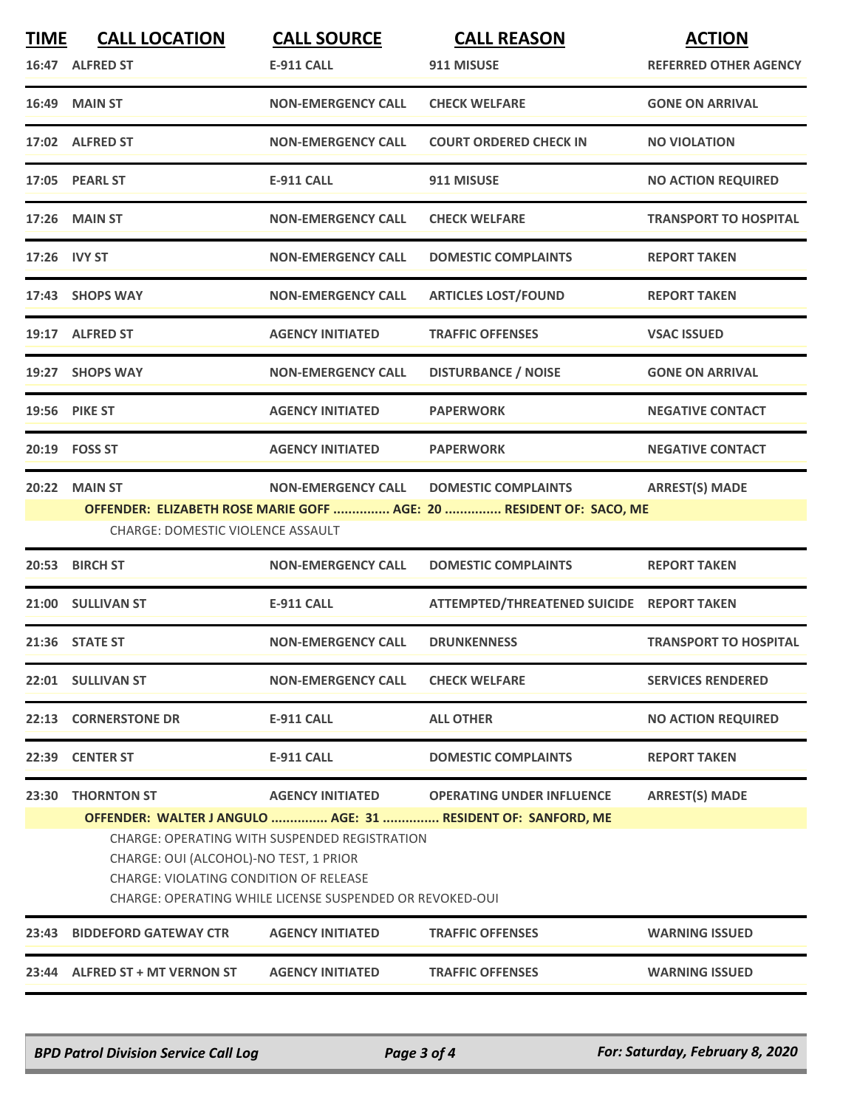| <b>TIME</b>  | <b>CALL LOCATION</b>                                                                                                                                                                                 | <b>CALL SOURCE</b>        | <b>CALL REASON</b>                                                  | <b>ACTION</b>                |  |
|--------------|------------------------------------------------------------------------------------------------------------------------------------------------------------------------------------------------------|---------------------------|---------------------------------------------------------------------|------------------------------|--|
|              | 16:47 ALFRED ST                                                                                                                                                                                      | <b>E-911 CALL</b>         | 911 MISUSE                                                          | <b>REFERRED OTHER AGENCY</b> |  |
|              | <b>16:49 MAIN ST</b>                                                                                                                                                                                 | <b>NON-EMERGENCY CALL</b> | <b>CHECK WELFARE</b>                                                | <b>GONE ON ARRIVAL</b>       |  |
|              | 17:02 ALFRED ST                                                                                                                                                                                      | <b>NON-EMERGENCY CALL</b> | <b>COURT ORDERED CHECK IN</b>                                       | <b>NO VIOLATION</b>          |  |
|              | 17:05 PEARL ST                                                                                                                                                                                       | <b>E-911 CALL</b>         | 911 MISUSE                                                          | <b>NO ACTION REQUIRED</b>    |  |
|              | <b>17:26 MAIN ST</b>                                                                                                                                                                                 | <b>NON-EMERGENCY CALL</b> | <b>CHECK WELFARE</b>                                                | <b>TRANSPORT TO HOSPITAL</b> |  |
| 17:26 IVY ST |                                                                                                                                                                                                      | <b>NON-EMERGENCY CALL</b> | <b>DOMESTIC COMPLAINTS</b>                                          | <b>REPORT TAKEN</b>          |  |
|              | 17:43 SHOPS WAY                                                                                                                                                                                      | <b>NON-EMERGENCY CALL</b> | <b>ARTICLES LOST/FOUND</b>                                          | <b>REPORT TAKEN</b>          |  |
|              | 19:17 ALFRED ST                                                                                                                                                                                      | <b>AGENCY INITIATED</b>   | <b>TRAFFIC OFFENSES</b>                                             | <b>VSAC ISSUED</b>           |  |
|              | 19:27 SHOPS WAY                                                                                                                                                                                      | <b>NON-EMERGENCY CALL</b> | <b>DISTURBANCE / NOISE</b>                                          | <b>GONE ON ARRIVAL</b>       |  |
|              | 19:56 PIKE ST                                                                                                                                                                                        | <b>AGENCY INITIATED</b>   | <b>PAPERWORK</b>                                                    | <b>NEGATIVE CONTACT</b>      |  |
|              | 20:19    FOSS ST                                                                                                                                                                                     | <b>AGENCY INITIATED</b>   | <b>PAPERWORK</b>                                                    | <b>NEGATIVE CONTACT</b>      |  |
|              | <b>20:22 MAIN ST</b>                                                                                                                                                                                 | <b>NON-EMERGENCY CALL</b> | <b>DOMESTIC COMPLAINTS</b>                                          | <b>ARREST(S) MADE</b>        |  |
|              |                                                                                                                                                                                                      |                           | OFFENDER: ELIZABETH ROSE MARIE GOFF  AGE: 20  RESIDENT OF: SACO, ME |                              |  |
|              | <b>CHARGE: DOMESTIC VIOLENCE ASSAULT</b>                                                                                                                                                             |                           |                                                                     |                              |  |
|              | 20:53 BIRCH ST                                                                                                                                                                                       | <b>NON-EMERGENCY CALL</b> | <b>DOMESTIC COMPLAINTS</b>                                          | <b>REPORT TAKEN</b>          |  |
|              | 21:00 SULLIVAN ST                                                                                                                                                                                    | <b>E-911 CALL</b>         | ATTEMPTED/THREATENED SUICIDE REPORT TAKEN                           |                              |  |
|              | 21:36 STATE ST                                                                                                                                                                                       | <b>NON-EMERGENCY CALL</b> | <b>DRUNKENNESS</b>                                                  | <b>TRANSPORT TO HOSPITAL</b> |  |
|              | 22:01 SULLIVAN ST                                                                                                                                                                                    | <b>NON-EMERGENCY CALL</b> | <b>CHECK WELFARE</b>                                                | <b>SERVICES RENDERED</b>     |  |
|              | 22:13 CORNERSTONE DR                                                                                                                                                                                 | <b>E-911 CALL</b>         | <b>ALL OTHER</b>                                                    | <b>NO ACTION REQUIRED</b>    |  |
| 22:39        | <b>CENTER ST</b>                                                                                                                                                                                     | <b>E-911 CALL</b>         | <b>DOMESTIC COMPLAINTS</b>                                          | <b>REPORT TAKEN</b>          |  |
| 23:30        | <b>THORNTON ST</b>                                                                                                                                                                                   | <b>AGENCY INITIATED</b>   | <b>OPERATING UNDER INFLUENCE</b>                                    | <b>ARREST(S) MADE</b>        |  |
|              |                                                                                                                                                                                                      |                           | OFFENDER: WALTER J ANGULO  AGE: 31  RESIDENT OF: SANFORD, ME        |                              |  |
|              | CHARGE: OPERATING WITH SUSPENDED REGISTRATION<br>CHARGE: OUI (ALCOHOL)-NO TEST, 1 PRIOR<br><b>CHARGE: VIOLATING CONDITION OF RELEASE</b><br>CHARGE: OPERATING WHILE LICENSE SUSPENDED OR REVOKED-OUI |                           |                                                                     |                              |  |
| 23:43        | <b>BIDDEFORD GATEWAY CTR</b>                                                                                                                                                                         | <b>AGENCY INITIATED</b>   | <b>TRAFFIC OFFENSES</b>                                             | <b>WARNING ISSUED</b>        |  |
|              | 23:44 ALFRED ST + MT VERNON ST                                                                                                                                                                       | <b>AGENCY INITIATED</b>   | <b>TRAFFIC OFFENSES</b>                                             | <b>WARNING ISSUED</b>        |  |
|              |                                                                                                                                                                                                      |                           |                                                                     |                              |  |

*BPD Patrol Division Service Call Log Page 3 of 4 For: Saturday, February 8, 2020*